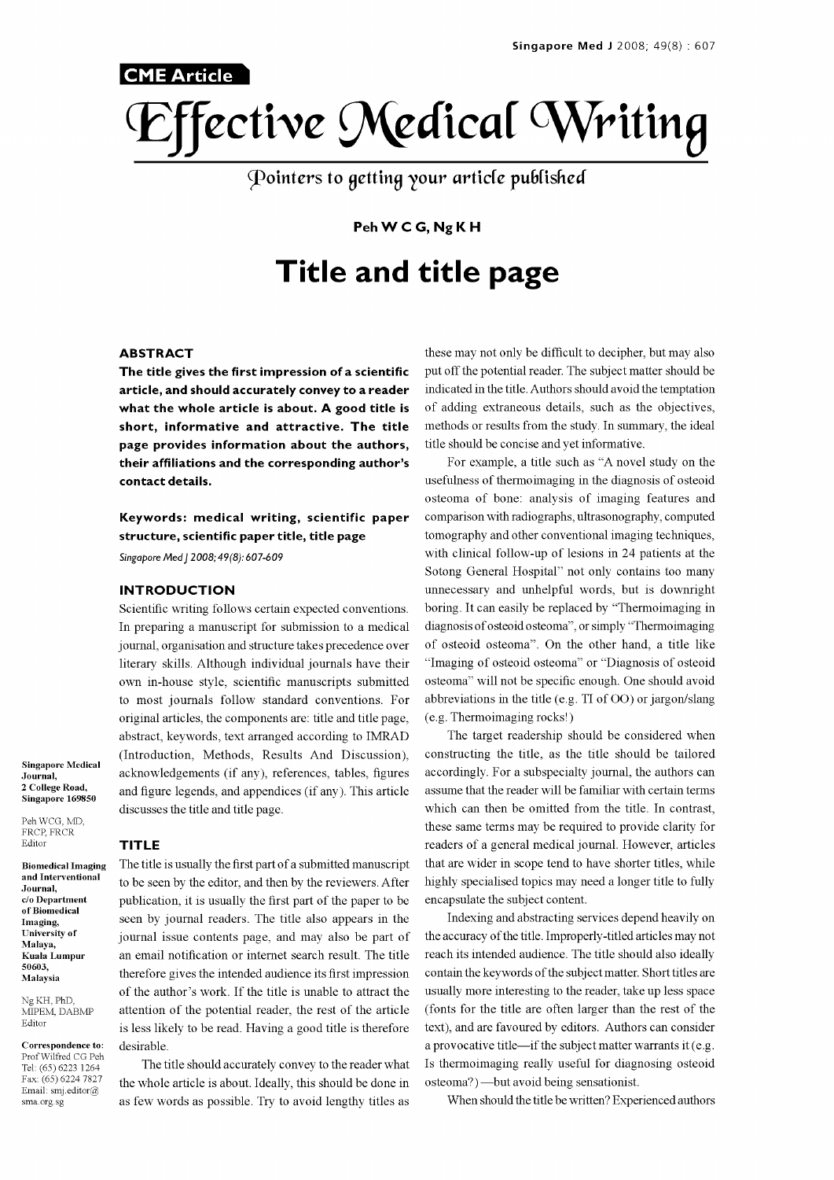

Pointers to getting your article published

## Peh W C G, Ng K H

# Title and title page

#### ABSTRACT

**CME Article** 

The title gives the first impression of a scientific article, and should accurately convey to a reader what the whole article is about. A good title is short, informative and attractive. The title page provides information about the authors, their affiliations and the corresponding author's contact details.

Keywords: medical writing, scientific paper structure, scientific paper title, title page

Singapore Med | 2008; 49(8): 607-609

#### INTRODUCTION

Scientific writing follows certain expected conventions. In preparing a manuscript for submission to a medical journal, organisation and structure takes precedence over literary skills. Although individual journals have their own in-house style, scientific manuscripts submitted to most journals follow standard conventions. For original articles, the components are: title and title page, abstract, keywords, text arranged according to IMRAD (Introduction, Methods, Results And Discussion), acknowledgements (if any), references, tables, figures accordingly. For a subspecialty journal, the authors can and figure legends, and appendices (if any). This article discusses the title and title page.

Journal, 2 College Road, Singapore 169850 Peh WCG, MD,

Singapore Medical

FRCP, FRCR Editor

Biomedical Imaging and Interventional Journal, c/o Department of Biomedical Imaging, University of Malaya, Kuala Lumpur 50603, Malaysia

Ng KH, PhD, MIPEM, DABMP Editor

Correspondence to: Prof Wilfred CG Peh Fax: (65) 6224 7827 Email: smj.editor@ sma.org.sg

#### TITLE

The title is usually the first part of a submitted manuscript to be seen by the editor, and then by the reviewers. After publication, it is usually the first part of the paper to be seen by journal readers. The title also appears in the journal issue contents page, and may also be part of an email notification or internet search result. The title therefore gives the intended audience its first impression of the author's work. If the title is unable to attract the attention of the potential reader, the rest of the article is less likely to be read. Having a good title is therefore desirable.

The title should accurately convey to the reader what the whole article is about. Ideally, this should be done in as few words as possible. Try to avoid lengthy titles as

these may not only be difficult to decipher, but may also put off the potential reader. The subject matter should be indicated in the title. Authors should avoid the temptation of adding extraneous details, such as the objectives, methods or results from the study. In summary, the ideal title should be concise and yet informative.

For example, a title such as "A novel study on the usefulness of thermoimaging in the diagnosis of osteoid osteoma of bone: analysis of imaging features and comparison with radiographs, ultrasonography, computed tomography and other conventional imaging techniques, with clinical follow-up of lesions in 24 patients at the Sotong General Hospital" not only contains too many unnecessary and unhelpful words, but is downright boring. It can easily be replaced by "Thermoimaging in diagnosis of osteoid osteoma", or simply "Thermoimaging of osteoid osteoma". On the other hand, a title like "Imaging of osteoid osteoma" or "Diagnosis of osteoid osteoma" will not be specific enough. One should avoid abbreviations in the title (e.g. TI of 00) or jargon/slang (e.g. Thermoimaging rocks!)

The target readership should be considered when constructing the title, as the title should be tailored assume that the reader will be familiar with certain terms which can then be omitted from the title. In contrast, these same terms may be required to provide clarity for readers of a general medical journal. However, articles that are wider in scope tend to have shorter titles, while highly specialised topics may need a longer title to fully encapsulate the subject content.

Indexing and abstracting services depend heavily on the accuracy of the title. Improperly -titled articles may not reach its intended audience. The title should also ideally contain the keywords of the subject matter. Short titles are usually more interesting to the reader, take up less space (fonts for the title are often larger than the rest of the text), and are favoured by editors. Authors can consider a provocative title—if the subject matter warrants it (e.g. Is thermoimaging really useful for diagnosing osteoid osteoma?) - but avoid being sensationist.

When should the title be written? Experienced authors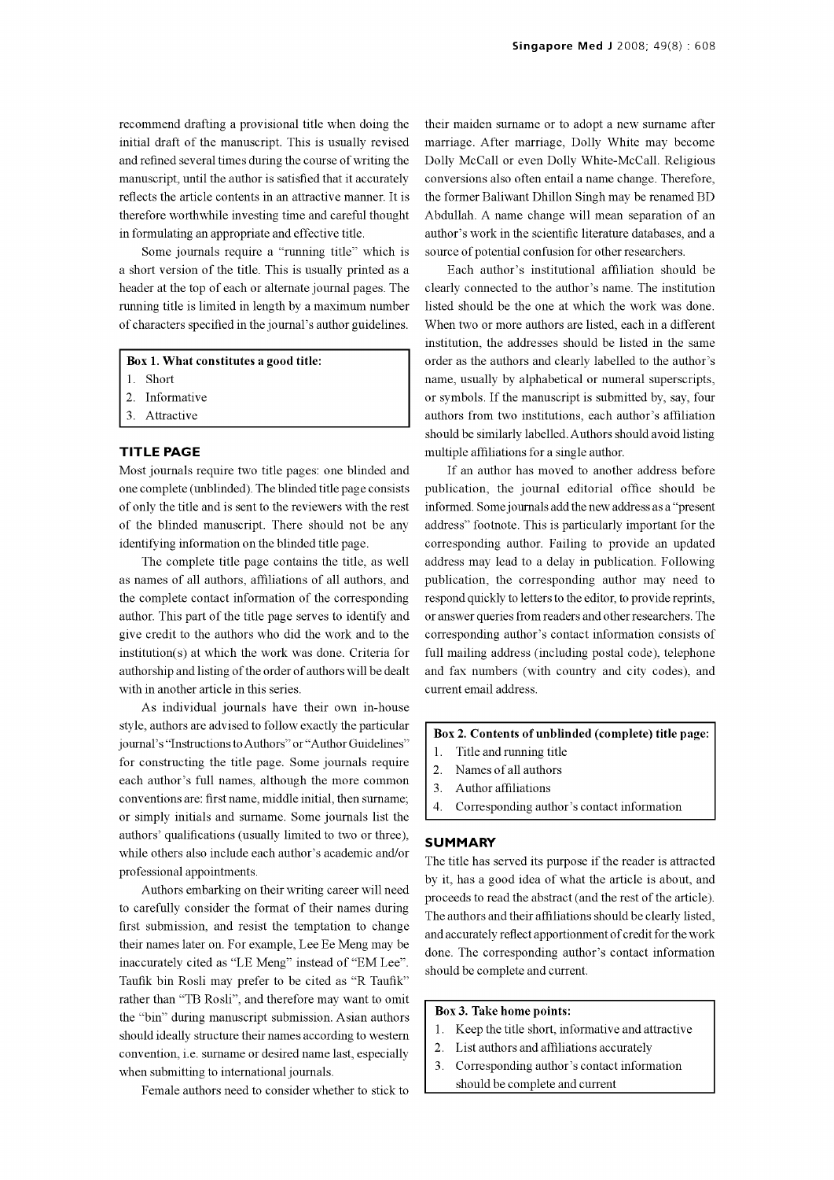recommend drafting a provisional title when doing the initial draft of the manuscript. This is usually revised and refined several times during the course of writing the manuscript, until the author is satisfied that it accurately reflects the article contents in an attractive manner. It is therefore worthwhile investing time and careful thought in formulating an appropriate and effective title.

Some journals require a "running title" which is a short version of the title. This is usually printed as a header at the top of each or alternate journal pages. The running title is limited in length by a maximum number of characters specified in the journal's author guidelines.

#### Box 1. What constitutes a good title:

- 1. Short
- 2. Informative
- 3. Attractive

### TITLE PAGE

Most journals require two title pages: one blinded and one complete (unblinded). The blinded title page consists of only the title and is sent to the reviewers with the rest of the blinded manuscript. There should not be any identifying information on the blinded title page.

The complete title page contains the title, as well as names of all authors, affiliations of all authors, and the complete contact information of the corresponding author. This part of the title page serves to identify and give credit to the authors who did the work and to the institution(s) at which the work was done. Criteria for authorship and listing of the order of authors will be dealt with in another article in this series.

As individual journals have their own in-house style, authors are advised to follow exactly the particular journal's "Instructions to Authors" or "Author Guidelines" for constructing the title page. Some journals require  $\begin{bmatrix} 1 \\ 2 \end{bmatrix}$ each author's full names, although the more common conventions are: first name, middle initial, then surname;  $\begin{bmatrix} 3. \\ 4. \end{bmatrix}$  or simply initials and surname. Some journals list the authors' qualifications (usually limited to two or three), while others also include each author's academic and/or professional appointments.

Authors embarking on their writing career will need to carefully consider the format of their names during first submission, and resist the temptation to change their names later on. For example, Lee Ee Meng may be inaccurately cited as "LE Meng" instead of "EM Lee". Taufik bin Rosli may prefer to be cited as "R Taufik" rather than "TB Rosli", and therefore may want to omit the "bin" during manuscript submission. Asian authors should ideally structure their names according to western  $\begin{bmatrix} 1 \\ 2 \end{bmatrix}$ convention, i.e. surname or desired name last, especially  $\begin{bmatrix} 2 \\ 3 \end{bmatrix}$ when submitting to international journals.

Female authors need to consider whether to stick to

their maiden surname or to adopt a new surname after marriage. After marriage, Dolly White may become Dolly McCall or even Dolly White -McCall. Religious conversions also often entail a name change. Therefore, the former Baliwant Dhillon Singh may be renamed BD Abdullah. A name change will mean separation of an author's work in the scientific literature databases, and a source of potential confusion for other researchers.

Each author's institutional affiliation should be clearly connected to the author's name. The institution listed should be the one at which the work was done. When two or more authors are listed, each in a different institution, the addresses should be listed in the same order as the authors and clearly labelled to the author's name, usually by alphabetical or numeral superscripts, or symbols. If the manuscript is submitted by, say, four authors from two institutions, each author's affiliation should be similarly labelled. Authors should avoid listing multiple affiliations for a single author.

If an author has moved to another address before publication, the journal editorial office should be informed. Some journals add the new address as a "present address" footnote. This is particularly important for the corresponding author. Failing to provide an updated address may lead to a delay in publication. Following publication, the corresponding author may need to respond quickly to letters to the editor, to provide reprints, or answer queries from readers and other researchers. The corresponding author's contact information consists of full mailing address (including postal code), telephone and fax numbers (with country and city codes), and current email address.

#### Box 2. Contents of unblinded (complete) title page:

- Title and running title
- Names of all authors
- Author affiliations
- 4. Corresponding author's contact information

#### **SUMMARY**

The title has served its purpose if the reader is attracted by it, has a good idea of what the article is about, and proceeds to read the abstract (and the rest of the article). The authors and their affiliations should be clearly listed, and accurately reflect apportionment of credit for the work done. The corresponding author's contact information should be complete and current.

#### Box 3. Take home points:

- 1. Keep the title short, informative and attractive
- List authors and affiliations accurately
- 3. Corresponding author's contact information should be complete and current